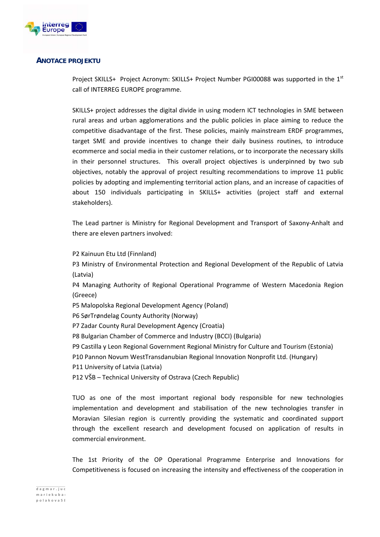

## **ANOTACE PROJEKTU**

Project SKILLS+ Project Acronym: SKILLS+ Project Number PGI00088 was supported in the  $1<sup>st</sup>$ call of INTERREG EUROPE programme.

SKILLS+ project addresses the digital divide in using modern ICT technologies in SME between rural areas and urban agglomerations and the public policies in place aiming to reduce the competitive disadvantage of the first. These policies, mainly mainstream ERDF programmes, target SME and provide incentives to change their daily business routines, to introduce ecommerce and social media in their customer relations, or to incorporate the necessary skills in their personnel structures. This overall project objectives is underpinned by two sub objectives, notably the approval of project resulting recommendations to improve 11 public policies by adopting and implementing territorial action plans, and an increase of capacities of about 150 individuals participating in SKILLS+ activities (project staff and external stakeholders).

The Lead partner is Ministry for Regional Development and Transport of Saxony‐Anhalt and there are eleven partners involved:

P2 Kainuun Etu Ltd (Finnland)

P3 Ministry of Environmental Protection and Regional Development of the Republic of Latvia (Latvia)

P4 Managing Authority of Regional Operational Programme of Western Macedonia Region (Greece)

P5 Malopolska Regional Development Agency (Poland)

P6 SørTrøndelag County Authority (Norway)

P7 Zadar County Rural Development Agency (Croatia)

P8 Bulgarian Chamber of Commerce and Industry (BCCI) (Bulgaria)

P9 Castilla y Leon Regional Government Regional Ministry for Culture and Tourism (Estonia)

P10 Pannon Novum WestTransdanubian Regional Innovation Nonprofit Ltd. (Hungary)

P11 University of Latvia (Latvia)

P12 VŠB – Technical University of Ostrava (Czech Republic)

TUO as one of the most important regional body responsible for new technologies implementation and development and stabilisation of the new technologies transfer in Moravian Silesian region is currently providing the systematic and coordinated support through the excellent research and development focused on application of results in commercial environment.

The 1st Priority of the OP Operational Programme Enterprise and Innovations for Competitiveness is focused on increasing the intensity and effectiveness of the cooperation in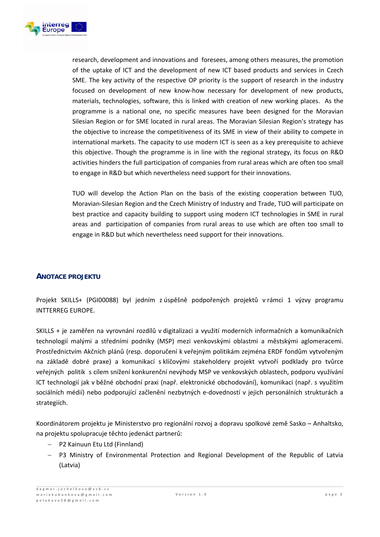

research, development and innovations and foresees, among others measures, the promotion of the uptake of ICT and the development of new ICT based products and services in Czech SME. The key activity of the respective OP priority is the support of research in the industry focused on development of new know‐how necessary for development of new products, materials, technologies, software, this is linked with creation of new working places. As the programme is a national one, no specific measures have been designed for the Moravian Silesian Region or for SME located in rural areas. The Moravian Silesian Region's strategy has the objective to increase the competitiveness of its SME in view of their ability to compete in international markets. The capacity to use modern ICT is seen as a key prerequisite to achieve this objective. Though the programme is in line with the regional strategy, its focus on R&D activities hinders the full participation of companies from rural areas which are often too small to engage in R&D but which nevertheless need support for their innovations.

TUO will develop the Action Plan on the basis of the existing cooperation between TUO, Moravian‐Silesian Region and the Czech Ministry of Industry and Trade, TUO will participate on best practice and capacity building to support using modern ICT technologies in SME in rural areas and participation of companies from rural areas to use which are often too small to engage in R&D but which nevertheless need support for their innovations.

## **ANOTACE PROJEKTU**

Projekt SKILLS+ (PGI00088) byl jedním z úspěšně podpořených projektů v rámci 1 výzvy programu INTTERREG EUROPE.

SKILLS + je zaměřen na vyrovnání rozdílů v digitalizaci a využití moderních informačních a komunikačních technologií malými a středními podniky (MSP) mezi venkovskými oblastmi a městskými aglomeracemi. Prostřednictvím Akčních plánů (resp. doporučení k veřejným politikám zejména ERDF fondům vytvořeným na základě dobré praxe) a komunikací s klíčovými stakeholdery projekt vytvoří podklady pro tvůrce veřejných politik s cílem snížení konkurenční nevýhody MSP ve venkovských oblastech, podporu využívání ICT technologií jak v běžné obchodní praxi (např. elektronické obchodování), komunikaci (např. s využitím sociálních médií) nebo podporující začlenění nezbytných e‐dovedností v jejich personálních strukturách a strategiích.

Koordinátorem projektu je Ministerstvo pro regionální rozvoj a dopravu spolkové země Sasko – Anhaltsko, na projektu spolupracuje těchto jedenáct partnerů:

- P2 Kainuun Etu Ltd (Finnland)
- P3 Ministry of Environmental Protection and Regional Development of the Republic of Latvia (Latvia)